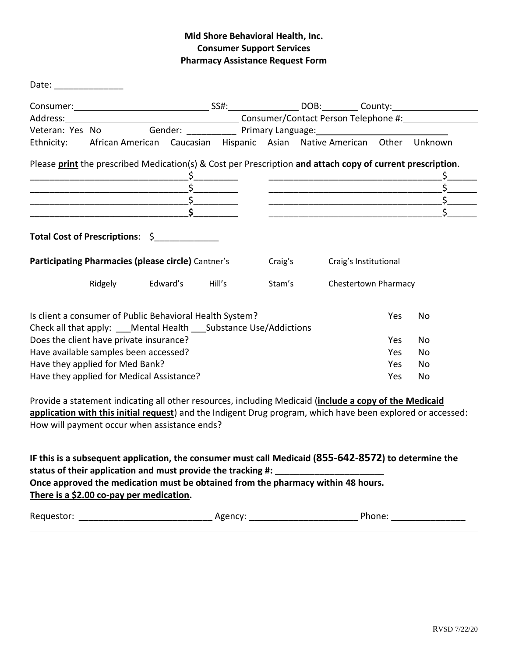## **Mid Shore Behavioral Health, Inc. Consumer Support Services Pharmacy Assistance Request Form**

|                                                                                                                                 | Veteran: Yes No Gender: ___________ Primary Language: __________________________ |                         |  |  |  |         |  |                             |           |  |
|---------------------------------------------------------------------------------------------------------------------------------|----------------------------------------------------------------------------------|-------------------------|--|--|--|---------|--|-----------------------------|-----------|--|
| Ethnicity: African American Caucasian Hispanic Asian Native American Other Unknown                                              |                                                                                  |                         |  |  |  |         |  |                             |           |  |
| Please print the prescribed Medication(s) & Cost per Prescription and attach copy of current prescription.                      |                                                                                  |                         |  |  |  |         |  |                             |           |  |
|                                                                                                                                 |                                                                                  |                         |  |  |  |         |  |                             |           |  |
|                                                                                                                                 |                                                                                  |                         |  |  |  |         |  |                             |           |  |
|                                                                                                                                 |                                                                                  |                         |  |  |  |         |  |                             |           |  |
| <u> 1989 - Johann John Stone, mars et al. (</u>                                                                                 |                                                                                  |                         |  |  |  |         |  |                             |           |  |
|                                                                                                                                 |                                                                                  |                         |  |  |  |         |  |                             |           |  |
| Total Cost of Prescriptions: \$<br>Participating Pharmacies (please circle) Cantner's                                           |                                                                                  |                         |  |  |  | Craig's |  | Craig's Institutional       |           |  |
|                                                                                                                                 |                                                                                  | Ridgely Edward's Hill's |  |  |  | Stam's  |  | <b>Chestertown Pharmacy</b> |           |  |
| Is client a consumer of Public Behavioral Health System?<br>Check all that apply: ___Mental Health ___ Substance Use/Addictions |                                                                                  |                         |  |  |  |         |  | Yes                         | No        |  |
| Does the client have private insurance?                                                                                         |                                                                                  |                         |  |  |  |         |  | Yes                         | No        |  |
| Have available samples been accessed?                                                                                           |                                                                                  |                         |  |  |  |         |  | <b>Yes</b>                  | <b>No</b> |  |
| Have they applied for Med Bank?                                                                                                 |                                                                                  |                         |  |  |  |         |  | Yes.                        | No        |  |

**application with this initial request**) and the Indigent Drug program, which have been explored or accessed: How will payment occur when assistance ends?

| IF this is a subsequent application, the consumer must call Medicaid (855-642-8572) to determine the |
|------------------------------------------------------------------------------------------------------|
| status of their application and must provide the tracking #:                                         |
| Once approved the medication must be obtained from the pharmacy within 48 hours.                     |
| There is a \$2.00 co-pay per medication.                                                             |

| Requestor: |
|------------|
|------------|

Requestor: \_\_\_\_\_\_\_\_\_\_\_\_\_\_\_\_\_\_\_\_\_\_\_\_\_\_\_ Agency: \_\_\_\_\_\_\_\_\_\_\_\_\_\_\_\_\_\_\_\_\_\_ Phone: \_\_\_\_\_\_\_\_\_\_\_\_\_\_\_